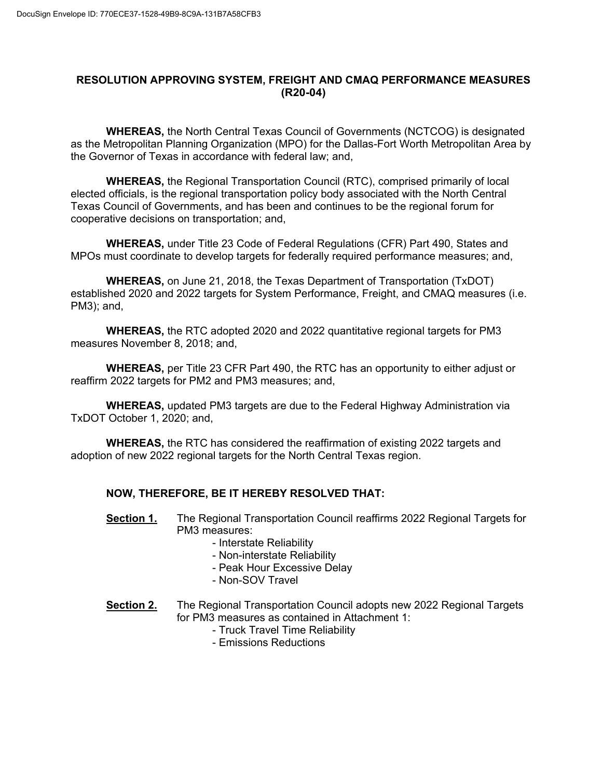## **RESOLUTION APPROVING SYSTEM, FREIGHT AND CMAQ PERFORMANCE MEASURES (R20-04)**

**WHEREAS,** the North Central Texas Council of Governments (NCTCOG) is designated as the Metropolitan Planning Organization (MPO) for the Dallas-Fort Worth Metropolitan Area by the Governor of Texas in accordance with federal law; and,

**WHEREAS,** the Regional Transportation Council (RTC), comprised primarily of local elected officials, is the regional transportation policy body associated with the North Central Texas Council of Governments, and has been and continues to be the regional forum for cooperative decisions on transportation; and,

**WHEREAS,** under Title 23 Code of Federal Regulations (CFR) Part 490, States and MPOs must coordinate to develop targets for federally required performance measures; and,

**WHEREAS,** on June 21, 2018, the Texas Department of Transportation (TxDOT) established 2020 and 2022 targets for System Performance, Freight, and CMAQ measures (i.e. PM3); and,

**WHEREAS,** the RTC adopted 2020 and 2022 quantitative regional targets for PM3 measures November 8, 2018; and,

**WHEREAS,** per Title 23 CFR Part 490, the RTC has an opportunity to either adjust or reaffirm 2022 targets for PM2 and PM3 measures; and,

**WHEREAS,** updated PM3 targets are due to the Federal Highway Administration via TxDOT October 1, 2020; and,

**WHEREAS,** the RTC has considered the reaffirmation of existing 2022 targets and adoption of new 2022 regional targets for the North Central Texas region.

## **NOW, THEREFORE, BE IT HEREBY RESOLVED THAT:**

- **Section 1.** The Regional Transportation Council reaffirms 2022 Regional Targets for PM3 measures:
	- Interstate Reliability
	- Non-interstate Reliability
	- Peak Hour Excessive Delay
	- Non-SOV Travel
- **Section 2.** The Regional Transportation Council adopts new 2022 Regional Targets for PM3 measures as contained in Attachment 1:
	- Truck Travel Time Reliability
	- Emissions Reductions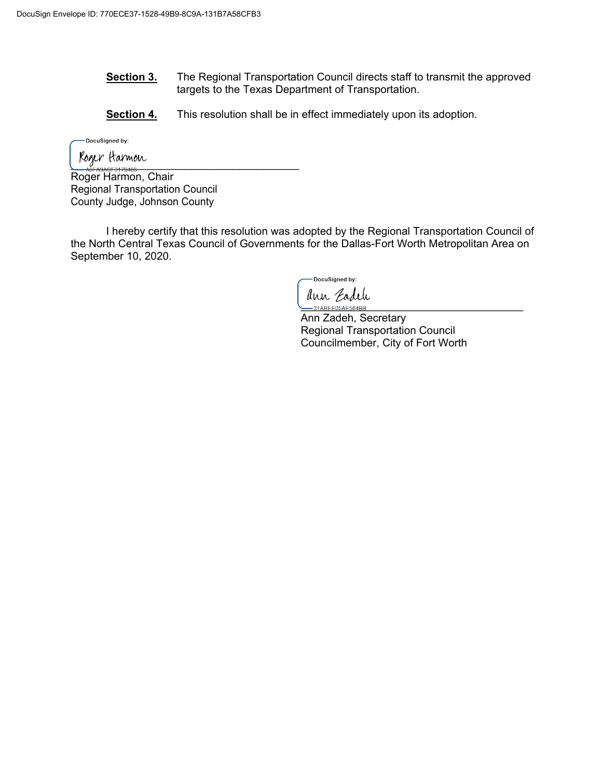- **Section 3.** The Regional Transportation Council directs staff to transmit the approved targets to the Texas Department of Transportation.
- **Section 4.** This resolution shall be in effect immediately upon its adoption.

-DocuSigned by:

 $\frac{1}{\sqrt{2}}$ 

Roger Harmon, Chair Regional Transportation Council County Judge, Johnson County

I hereby certify that this resolution was adopted by the Regional Transportation Council of the North Central Texas Council of Governments for the Dallas-Fort Worth Metropolitan Area on September 10, 2020.

-DocuSianed by: ann Cadeli

Ann Zadeh, Secretary Regional Transportation Council Councilmember, City of Fort Worth